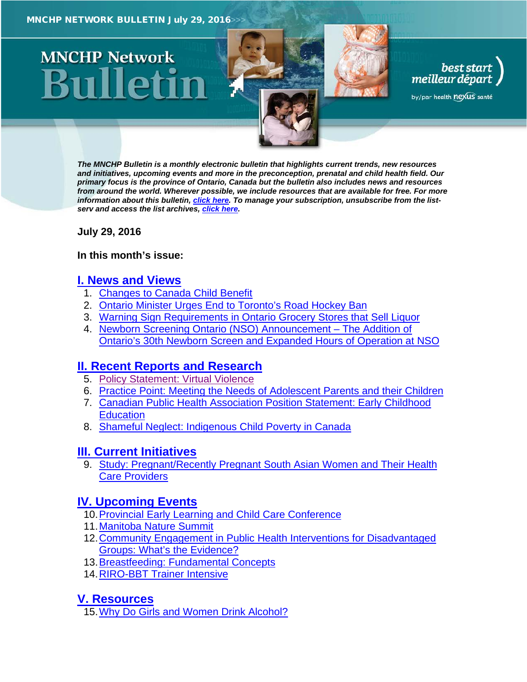# **MNCHP Network**

*The MNCHP Bulletin is a monthly electronic bulletin that highlights current trends, new resources and initiatives, upcoming events and more in the preconception, prenatal and child health field. Our primary focus is the province of Ontario, Canada but the bulletin also includes news and resources from around the world. Wherever possible, we include resources that are available for free. For more information about this bulletin, [click here.](#page-14-0) To manage your subscription, unsubscribe from the listserv and access the list archives, [click here.](http://en.beststart.org/services/information-exchange)* 

best start<br>, meilleur départ

by/par health nexus santé

<span id="page-0-0"></span>**July 29, 2016**

## **In this month's issue:**

## **[I. News and](#page-1-0) Views**

- 1. [Changes to Canada Child Benefit](#page-1-1)
- 2. [Ontario Minister Urges End to Toronto's Road Hockey Ban](#page-2-0)
- 3. [Warning Sign Requirements in Ontario Grocery Stores that Sell Liquor](#page-2-1)
- 4. [Newborn Screening Ontario \(NSO\) Announcement](#page-3-0) The Addition of [Ontario's 30th Newborn Screen and Expanded Hours of Operation at NSO](#page-3-0)

## **[II. Recent Reports and Research](#page-4-0)**

- 5. [Policy Statement: Virtual Violence](#page-4-1)
- 6. [Practice Point: Meeting the Needs of Adolescent Parents and their Children](#page-4-2)
- 7. [Canadian Public Health Association Position Statement: Early Childhood](#page-5-0)  **[Education](#page-5-0)**
- 8. [Shameful Neglect: Indigenous Child Poverty in Canada](#page-6-0)

## **[III. Current Initiatives](#page-6-1)**

9. [Study: Pregnant/Recently Pregnant South Asian Women and Their Health](#page-6-2)  [Care Providers](#page-6-2)

## **[IV. Upcoming Events](#page-7-0)**

- 10[.Provincial Early Learning and Child Care Conference](#page-7-1)
- 11[.Manitoba Nature Summit](#page-7-2)
- [12.Community Engagement in Public Health Interventions for Disadvantaged](#page-8-0)  [Groups: What's the Evidence?](#page-8-0)
- 13[.Breastfeeding: Fundamental Concepts](#page-8-1)
- 14[.RIRO-BBT Trainer Intensive](#page-8-2)

## **[V. Resources](#page-9-0)**

15[.Why Do Girls and Women Drink Alcohol?](#page-9-1)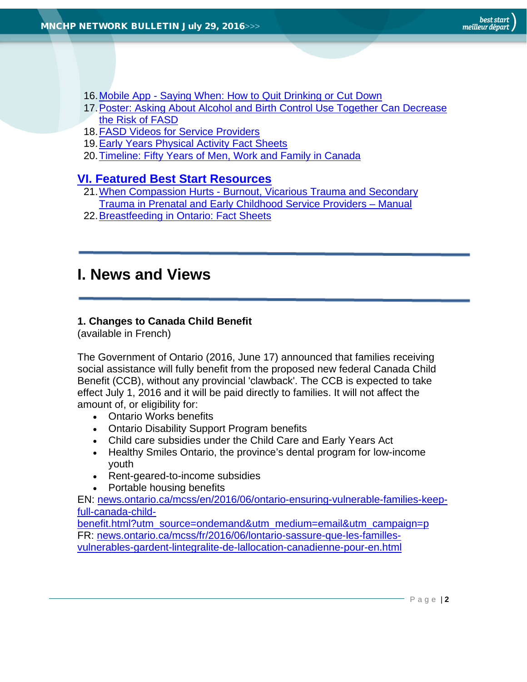- 16.Mobile App [Saying When: How to Quit Drinking or Cut Down](#page-10-0)
- [17.Poster: Asking About Alcohol and Birth Control Use Together Can Decrease](#page-10-1)  [the Risk of FASD](#page-10-1)
- 18. FASD Videos for Service Providers
- 19[.Early Years Physical Activity Fact Sheets](#page-11-0)
- 20[.Timeline: Fifty Years of Men, Work and Family in Canada](#page-11-1)

## **[VI. Featured Best Start Resources](#page-13-0)**

- 21.When Compassion Hurts [Burnout, Vicarious Trauma and Secondary](#page-13-1)  [Trauma in Prenatal and Early Childhood Service Providers –](#page-13-1) Manual
- 22[.Breastfeeding in Ontario: Fact Sheets](#page-13-2)

## <span id="page-1-0"></span>**I. News and Views**

## <span id="page-1-1"></span>**1. Changes to Canada Child Benefit**

(available in French)

The Government of Ontario (2016, June 17) announced that families receiving social assistance will fully benefit from the proposed new federal Canada Child Benefit (CCB), without any provincial 'clawback'. The CCB is expected to take effect July 1, 2016 and it will be paid directly to families. It will not affect the amount of, or eligibility for:

- Ontario Works benefits
- Ontario Disability Support Program benefits
- Child care subsidies under the Child Care and Early Years Act
- Healthy Smiles Ontario, the province's dental program for low-income youth
- Rent-geared-to-income subsidies
- Portable housing benefits

EN: [news.ontario.ca/mcss/en/2016/06/ontario-ensuring-vulnerable-families-keep](https://news.ontario.ca/mcss/en/2016/06/ontario-ensuring-vulnerable-families-keep-full-canada-child-benefit.html?utm_source=ondemand&utm_medium=email&utm_campaign=p)[full-canada-child-](https://news.ontario.ca/mcss/en/2016/06/ontario-ensuring-vulnerable-families-keep-full-canada-child-benefit.html?utm_source=ondemand&utm_medium=email&utm_campaign=p)

[benefit.html?utm\\_source=ondemand&utm\\_medium=email&utm\\_campaign=p](https://news.ontario.ca/mcss/en/2016/06/ontario-ensuring-vulnerable-families-keep-full-canada-child-benefit.html?utm_source=ondemand&utm_medium=email&utm_campaign=p) FR: [news.ontario.ca/mcss/fr/2016/06/lontario-sassure-que-les-familles](https://news.ontario.ca/mcss/fr/2016/06/lontario-sassure-que-les-familles-vulnerables-gardent-lintegralite-de-lallocation-canadienne-pour-en.html)[vulnerables-gardent-lintegralite-de-lallocation-canadienne-pour-en.html](https://news.ontario.ca/mcss/fr/2016/06/lontario-sassure-que-les-familles-vulnerables-gardent-lintegralite-de-lallocation-canadienne-pour-en.html)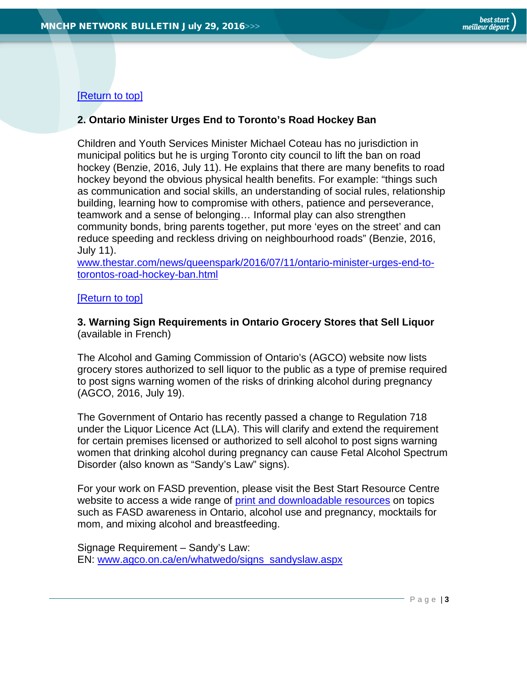## [\[Return to top\]](#page-0-0)

## <span id="page-2-0"></span>**2. Ontario Minister Urges End to Toronto's Road Hockey Ban**

Children and Youth Services Minister Michael Coteau has no jurisdiction in municipal politics but he is urging Toronto city council to lift the ban on road hockey (Benzie, 2016, July 11). He explains that there are many benefits to road hockey beyond the obvious physical health benefits. For example: "things such as communication and social skills, an understanding of social rules, relationship building, learning how to compromise with others, patience and perseverance, teamwork and a sense of belonging… Informal play can also strengthen community bonds, bring parents together, put more 'eyes on the street' and can reduce speeding and reckless driving on neighbourhood roads" (Benzie, 2016, July 11).

[www.thestar.com/news/queenspark/2016/07/11/ontario-minister-urges-end-to](https://www.thestar.com/news/queenspark/2016/07/11/ontario-minister-urges-end-to-torontos-road-hockey-ban.html)[torontos-road-hockey-ban.html](https://www.thestar.com/news/queenspark/2016/07/11/ontario-minister-urges-end-to-torontos-road-hockey-ban.html)

## [\[Return to top\]](#page-0-0)

<span id="page-2-1"></span>**3. Warning Sign Requirements in Ontario Grocery Stores that Sell Liquor** (available in French)

The Alcohol and Gaming Commission of Ontario's (AGCO) website now lists grocery stores authorized to sell liquor to the public as a type of premise required to post signs warning women of the risks of drinking alcohol during pregnancy (AGCO, 2016, July 19).

The Government of Ontario has recently passed a change to Regulation 718 under the Liquor Licence Act (LLA). This will clarify and extend the requirement for certain premises licensed or authorized to sell alcohol to post signs warning women that drinking alcohol during pregnancy can cause Fetal Alcohol Spectrum Disorder (also known as "Sandy's Law" signs).

For your work on FASD prevention, please visit the Best Start Resource Centre website to access a wide range of [print and downloadable resources](http://www.beststart.org/cgi-bin/commerce.cgi?search=action&category=A00E&advanced=yes&sortkey=sku&sortorder=descending) on topics such as FASD awareness in Ontario, alcohol use and pregnancy, mocktails for mom, and mixing alcohol and breastfeeding.

Signage Requirement – Sandy's Law: EN: [www.agco.on.ca/en/whatwedo/signs\\_sandyslaw.aspx](http://www.agco.on.ca/en/whatwedo/signs_sandyslaw.aspx)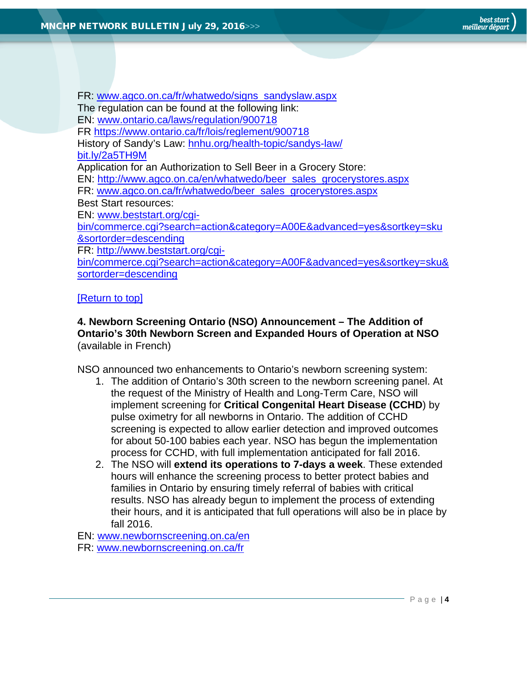FR: [www.agco.on.ca/fr/whatwedo/signs\\_sandyslaw.aspx](http://www.agco.on.ca/fr/whatwedo/signs_sandyslaw.aspx) The regulation can be found at the following link: EN: [www.ontario.ca/laws/regulation/900718](https://www.ontario.ca/laws/regulation/900718) FR<https://www.ontario.ca/fr/lois/reglement/900718> History of Sandy's Law: [hnhu.org/health-topic/sandys-law/](https://hnhu.org/health-topic/sandys-law/) [bit.ly/2a5TH9M](http://bit.ly/2a5TH9M) Application for an Authorization to Sell Beer in a Grocery Store: EN: [http://www.agco.on.ca/en/whatwedo/beer\\_sales\\_grocerystores.aspx](http://www.agco.on.ca/en/whatwedo/beer_sales_grocerystores.aspx) FR: [www.agco.on.ca/fr/whatwedo/beer\\_sales\\_grocerystores.aspx](http://www.agco.on.ca/fr/whatwedo/beer_sales_grocerystores.aspx) Best Start resources: EN: [www.beststart.org/cgi](http://www.beststart.org/cgi-bin/commerce.cgi?search=action&category=A00E&advanced=yes&sortkey=sku&sortorder=descending)[bin/commerce.cgi?search=action&category=A00E&advanced=yes&sortkey=sku](http://www.beststart.org/cgi-bin/commerce.cgi?search=action&category=A00E&advanced=yes&sortkey=sku&sortorder=descending) [&sortorder=descending](http://www.beststart.org/cgi-bin/commerce.cgi?search=action&category=A00E&advanced=yes&sortkey=sku&sortorder=descending) FR: [http://www.beststart.org/cgi](http://www.beststart.org/cgi-bin/commerce.cgi?search=action&category=A00F&advanced=yes&sortkey=sku&sortorder=descending)[bin/commerce.cgi?search=action&category=A00F&advanced=yes&sortkey=sku&](http://www.beststart.org/cgi-bin/commerce.cgi?search=action&category=A00F&advanced=yes&sortkey=sku&sortorder=descending) [sortorder=descending](http://www.beststart.org/cgi-bin/commerce.cgi?search=action&category=A00F&advanced=yes&sortkey=sku&sortorder=descending)

## [\[Return to top\]](#page-0-0)

## <span id="page-3-0"></span>**4. Newborn Screening Ontario (NSO) Announcement – The Addition of Ontario's 30th Newborn Screen and Expanded Hours of Operation at NSO** (available in French)

NSO announced two enhancements to Ontario's newborn screening system:

- 1. The addition of Ontario's 30th screen to the newborn screening panel. At the request of the Ministry of Health and Long-Term Care, NSO will implement screening for **Critical Congenital Heart Disease (CCHD**) by pulse oximetry for all newborns in Ontario. The addition of CCHD screening is expected to allow earlier detection and improved outcomes for about 50-100 babies each year. NSO has begun the implementation process for CCHD, with full implementation anticipated for fall 2016.
- 2. The NSO will **extend its operations to 7-days a week**. These extended hours will enhance the screening process to better protect babies and families in Ontario by ensuring timely referral of babies with critical results. NSO has already begun to implement the process of extending their hours, and it is anticipated that full operations will also be in place by fall 2016.

EN: [www.newbornscreening.on.ca/en](https://www.newbornscreening.on.ca/en) FR: [www.newbornscreening.on.ca/fr](https://www.newbornscreening.on.ca/fr)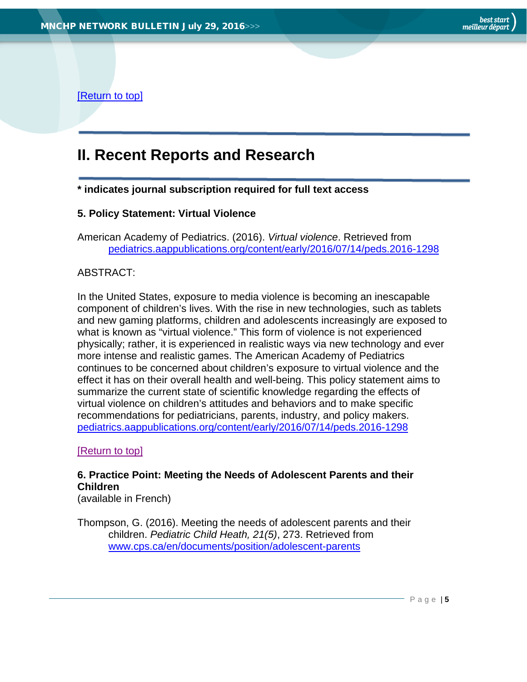[\[Return to top\]](#page-0-0)

## <span id="page-4-0"></span>**II. Recent Reports and Research**

**\* indicates journal subscription required for full text access**

## <span id="page-4-1"></span>**5. Policy Statement: Virtual Violence**

American Academy of Pediatrics. (2016). *Virtual violence*. Retrieved from [pediatrics.aappublications.org/content/early/2016/07/14/peds.2016-1298](http://pediatrics.aappublications.org/content/early/2016/07/14/peds.2016-1298)

## ABSTRACT:

In the United States, exposure to media violence is becoming an inescapable component of children's lives. With the rise in new technologies, such as tablets and new gaming platforms, children and adolescents increasingly are exposed to what is known as "virtual violence." This form of violence is not experienced physically; rather, it is experienced in realistic ways via new technology and ever more intense and realistic games. The American Academy of Pediatrics continues to be concerned about children's exposure to virtual violence and the effect it has on their overall health and well-being. This policy statement aims to summarize the current state of scientific knowledge regarding the effects of virtual violence on children's attitudes and behaviors and to make specific recommendations for pediatricians, parents, industry, and policy makers. [pediatrics.aappublications.org/content/early/2016/07/14/peds.2016-1298](http://pediatrics.aappublications.org/content/early/2016/07/14/peds.2016-1298)

## [\[Return to top\]](#page-0-0)

<span id="page-4-2"></span>**6. Practice Point: Meeting the Needs of Adolescent Parents and their Children**

(available in French)

Thompson, G. (2016). Meeting the needs of adolescent parents and their children. *Pediatric Child Heath, 21(5)*, 273. Retrieved from [www.cps.ca/en/documents/position/adolescent-parents](http://www.cps.ca/en/documents/position/adolescent-parents)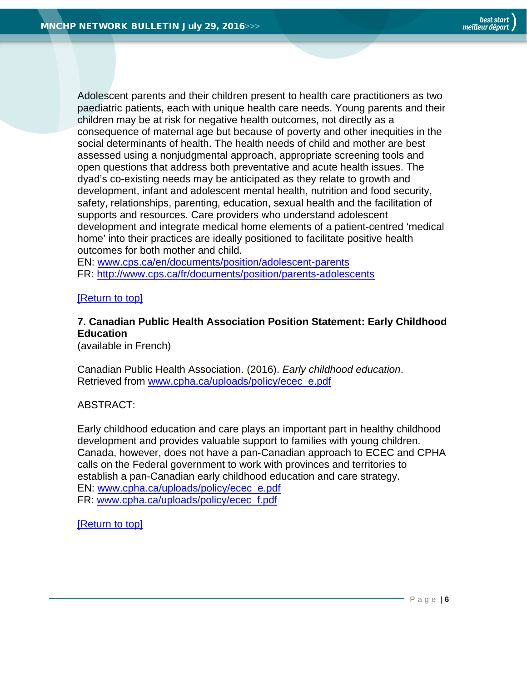Adolescent parents and their children present to health care practitioners as two paediatric patients, each with unique health care needs. Young parents and their children may be at risk for negative health outcomes, not directly as a consequence of maternal age but because of poverty and other inequities in the social determinants of health. The health needs of child and mother are best assessed using a nonjudgmental approach, appropriate screening tools and open questions that address both preventative and acute health issues. The dyad's co-existing needs may be anticipated as they relate to growth and development, infant and adolescent mental health, nutrition and food security, safety, relationships, parenting, education, sexual health and the facilitation of supports and resources. Care providers who understand adolescent development and integrate medical home elements of a patient-centred 'medical home' into their practices are ideally positioned to facilitate positive health outcomes for both mother and child.

EN: [www.cps.ca/en/documents/position/adolescent-parents](http://www.cps.ca/en/documents/position/adolescent-parents) FR:<http://www.cps.ca/fr/documents/position/parents-adolescents>

## [\[Return to top\]](#page-0-0)

## <span id="page-5-0"></span>**7. Canadian Public Health Association Position Statement: Early Childhood Education**

(available in French)

Canadian Public Health Association. (2016). *Early childhood education*. Retrieved from [www.cpha.ca/uploads/policy/ecec\\_e.pdf](http://www.cpha.ca/uploads/policy/ecec_e.pdf)

#### ABSTRACT:

Early childhood education and care plays an important part in healthy childhood development and provides valuable support to families with young children. Canada, however, does not have a pan-Canadian approach to ECEC and CPHA calls on the Federal government to work with provinces and territories to establish a pan-Canadian early childhood education and care strategy. EN: [www.cpha.ca/uploads/policy/ecec\\_e.pdf](http://www.cpha.ca/uploads/policy/ecec_e.pdf) FR: [www.cpha.ca/uploads/policy/ecec\\_f.pdf](http://www.cpha.ca/uploads/policy/ecec_f.pdf)

[\[Return to top\]](#page-0-0)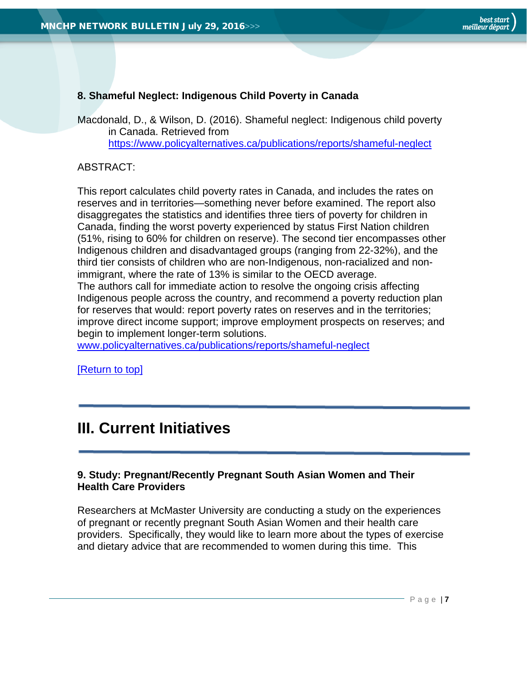## <span id="page-6-0"></span>**8. Shameful Neglect: Indigenous Child Poverty in Canada**

Macdonald, D., & Wilson, D. (2016). Shameful neglect: Indigenous child poverty in Canada. Retrieved from <https://www.policyalternatives.ca/publications/reports/shameful-neglect>

## ABSTRACT:

This report calculates child poverty rates in Canada, and includes the rates on reserves and in territories—something never before examined. The report also disaggregates the statistics and identifies three tiers of poverty for children in Canada, finding the worst poverty experienced by status First Nation children (51%, rising to 60% for children on reserve). The second tier encompasses other Indigenous children and disadvantaged groups (ranging from 22-32%), and the third tier consists of children who are non-Indigenous, non-racialized and nonimmigrant, where the rate of 13% is similar to the OECD average. The authors call for immediate action to resolve the ongoing crisis affecting Indigenous people across the country, and recommend a poverty reduction plan for reserves that would: report poverty rates on reserves and in the territories; improve direct income support; improve employment prospects on reserves; and begin to implement longer-term solutions.

[www.policyalternatives.ca/publications/reports/shameful-neglect](https://www.policyalternatives.ca/publications/reports/shameful-neglect)

[\[Return to top\]](#page-0-0)

## <span id="page-6-1"></span>**III. Current Initiatives**

## <span id="page-6-2"></span>**9. Study: Pregnant/Recently Pregnant South Asian Women and Their Health Care Providers**

Researchers at McMaster University are conducting a study on the experiences of pregnant or recently pregnant South Asian Women and their health care providers. Specifically, they would like to learn more about the types of exercise and dietary advice that are recommended to women during this time. This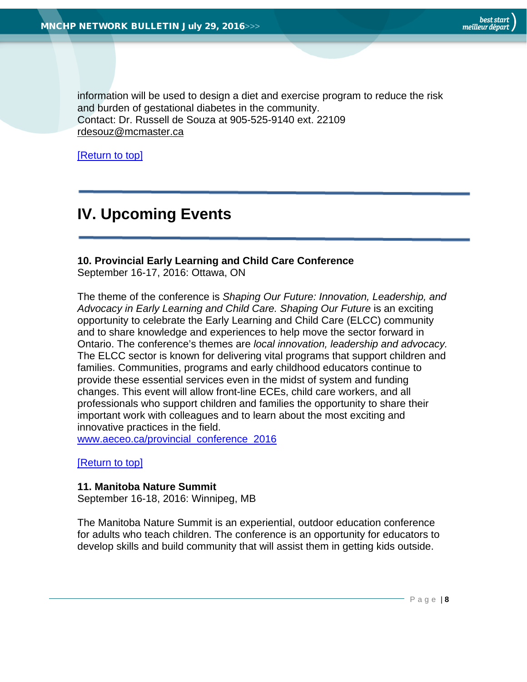information will be used to design a diet and exercise program to reduce the risk and burden of gestational diabetes in the community. Contact: Dr. Russell de Souza at 905-525-9140 ext. 22109 [rdesouz@mcmaster.ca](mailto:rdesouz@mcmaster.ca)

[\[Return to top\]](#page-0-0)

## <span id="page-7-0"></span>**IV. Upcoming Events**

## <span id="page-7-1"></span>**10. Provincial Early Learning and Child Care Conference**

September 16-17, 2016: Ottawa, ON

The theme of the conference is *Shaping Our Future: Innovation, Leadership, and Advocacy in Early Learning and Child Care. Shaping Our Future* is an exciting opportunity to celebrate the Early Learning and Child Care (ELCC) community and to share knowledge and experiences to help move the sector forward in Ontario. The conference's themes are *local innovation, leadership and advocacy.* The ELCC sector is known for delivering vital programs that support children and families. Communities, programs and early childhood educators continue to provide these essential services even in the midst of system and funding changes. This event will allow front-line ECEs, child care workers, and all professionals who support children and families the opportunity to share their important work with colleagues and to learn about the most exciting and innovative practices in the field.

[www.aeceo.ca/provincial\\_conference\\_2016](http://www.aeceo.ca/provincial_conference_2016)

[\[Return to top\]](#page-0-0)

#### <span id="page-7-2"></span>**11. Manitoba Nature Summit**

September 16-18, 2016: Winnipeg, MB

The Manitoba Nature Summit is an experiential, outdoor education conference for adults who teach children. The conference is an opportunity for educators to develop skills and build community that will assist them in getting kids outside.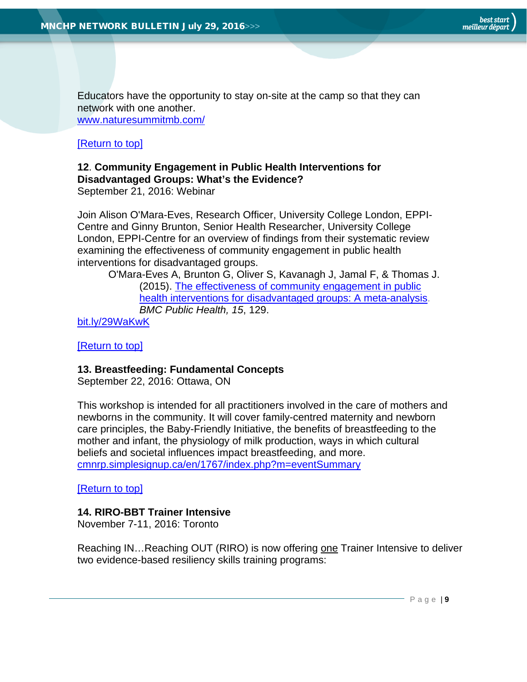Educators have the opportunity to stay on-site at the camp so that they can network with one another.

[www.naturesummitmb.com/](http://www.naturesummitmb.com/)

## [\[Return to top\]](#page-0-0)

## <span id="page-8-0"></span>**12**. **Community Engagement in Public Health Interventions for Disadvantaged Groups: What's the Evidence?**

September 21, 2016: Webinar

Join Alison O'Mara-Eves, Research Officer, University College London, EPPI-Centre and Ginny Brunton, Senior Health Researcher, University College London, EPPI-Centre for an overview of findings from their systematic review examining the effectiveness of community engagement in public health interventions for disadvantaged groups.

O'Mara-Eves A, Brunton G, Oliver S, Kavanagh J, Jamal F, & Thomas J. (2015). [The effectiveness of community engagement in public](http://healthevidence.us13.list-manage.com/track/click?u=ddf18ab109a91a61343fd73a5&id=cc2cf3bf3d&e=022cb3d454)  [health interventions for disadvantaged groups: A meta-analysis.](http://healthevidence.us13.list-manage.com/track/click?u=ddf18ab109a91a61343fd73a5&id=cc2cf3bf3d&e=022cb3d454) *BMC Public Health, 15*, 129.

[bit.ly/29WaKwK](http://bit.ly/29WaKwK)

[\[Return to top\]](#page-0-0)

## <span id="page-8-1"></span>**13. Breastfeeding: Fundamental Concepts**

September 22, 2016: Ottawa, ON

This workshop is intended for all practitioners involved in the care of mothers and newborns in the community. It will cover family-centred maternity and newborn care principles, the Baby-Friendly Initiative, the benefits of breastfeeding to the mother and infant, the physiology of milk production, ways in which cultural beliefs and societal influences impact breastfeeding, and more. [cmnrp.simplesignup.ca/en/1767/index.php?m=eventSummary](https://cmnrp.simplesignup.ca/en/1767/index.php?m=eventSummary)

[\[Return to top\]](#page-0-0)

## <span id="page-8-2"></span>**14. RIRO-BBT Trainer Intensive**

November 7-11, 2016: Toronto

Reaching IN...Reaching OUT (RIRO) is now offering one Trainer Intensive to deliver two evidence-based resiliency skills training programs: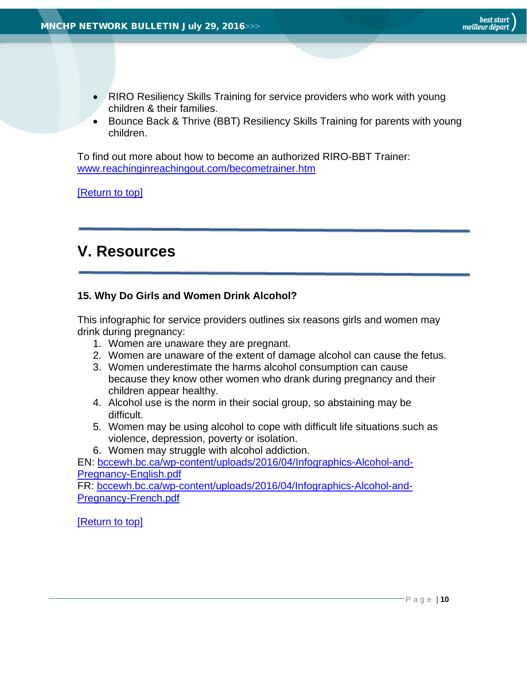- RIRO Resiliency Skills Training for service providers who work with young children & their families.
- Bounce Back & Thrive (BBT) Resiliency Skills Training for parents with young children.

To find out more about how to become an authorized RIRO-BBT Trainer: [www.reachinginreachingout.com/becometrainer.htm](http://www.reachinginreachingout.com/becometrainer.htm)

[\[Return to top\]](#page-0-0)

# <span id="page-9-0"></span>**V. Resources**

## <span id="page-9-1"></span>**15. Why Do Girls and Women Drink Alcohol?**

This infographic for service providers outlines six reasons girls and women may drink during pregnancy:

- 1. Women are unaware they are pregnant.
- 2. Women are unaware of the extent of damage alcohol can cause the fetus.
- 3. Women underestimate the harms alcohol consumption can cause because they know other women who drank during pregnancy and their children appear healthy.
- 4. Alcohol use is the norm in their social group, so abstaining may be difficult.
- 5. Women may be using alcohol to cope with difficult life situations such as violence, depression, poverty or isolation.
- 6. Women may struggle with alcohol addiction.

EN: [bccewh.bc.ca/wp-content/uploads/2016/04/Infographics-Alcohol-and-](http://bccewh.bc.ca/wp-content/uploads/2016/04/Infographics-Alcohol-and-Pregnancy-English.pdf)[Pregnancy-English.pdf](http://bccewh.bc.ca/wp-content/uploads/2016/04/Infographics-Alcohol-and-Pregnancy-English.pdf)

FR: [bccewh.bc.ca/wp-content/uploads/2016/04/Infographics-Alcohol-and-](http://bccewh.bc.ca/wp-content/uploads/2016/04/Infographics-Alcohol-and-Pregnancy-French.pdf)[Pregnancy-French.pdf](http://bccewh.bc.ca/wp-content/uploads/2016/04/Infographics-Alcohol-and-Pregnancy-French.pdf)

[\[Return to top\]](#page-0-0)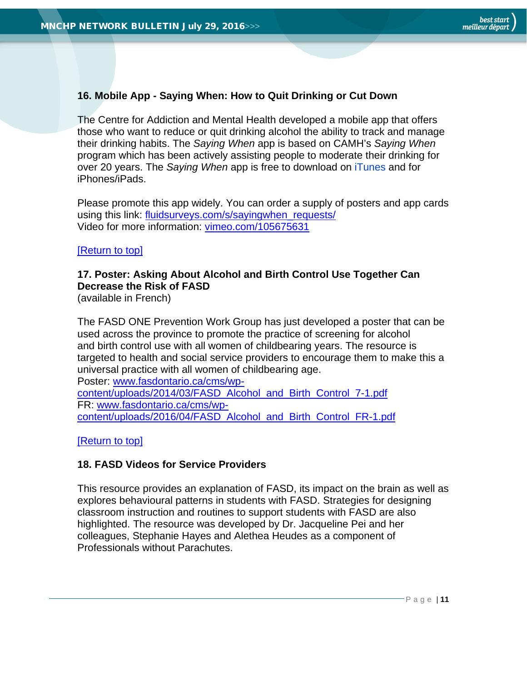## <span id="page-10-0"></span>**16. Mobile App - Saying When: How to Quit Drinking or Cut Down**

The Centre for Addiction and Mental Health developed a mobile app that offers those who want to reduce or quit drinking alcohol the ability to track and manage their drinking habits. The *Saying When* app is based on CAMH's *Saying When*  program which has been actively assisting people to moderate their drinking for over 20 years. The *Saying When* app is free to download on iTunes and for iPhones/iPads.

Please promote this app widely. You can order a supply of posters and app cards using this link: fluidsurveys.com/s/sayingwhen\_requests/ Video for more information: [vimeo.com/105675631](https://vimeo.com/105675631)

## [\[Return to top\]](#page-0-0)

## <span id="page-10-1"></span>**17. Poster: Asking About Alcohol and Birth Control Use Together Can Decrease the Risk of FASD**

(available in French)

The FASD ONE Prevention Work Group has just developed a poster that can be used across the province to promote the practice of screening for alcohol and birth control use with all women of childbearing years. The resource is targeted to health and social service providers to encourage them to make this a universal practice with all women of childbearing age. Poster: [www.fasdontario.ca/cms/wp-](http://www.fasdontario.ca/cms/wp-content/uploads/2014/03/FASD_Alcohol_and_Birth_Control_7-1.pdf)

[content/uploads/2014/03/FASD\\_Alcohol\\_and\\_Birth\\_Control\\_7-1.pdf](http://www.fasdontario.ca/cms/wp-content/uploads/2014/03/FASD_Alcohol_and_Birth_Control_7-1.pdf) FR: [www.fasdontario.ca/cms/wp](http://www.fasdontario.ca/cms/wp-content/uploads/2016/04/FASD_Alcohol_and_Birth_Control_FR-1.pdf)[content/uploads/2016/04/FASD\\_Alcohol\\_and\\_Birth\\_Control\\_FR-1.pdf](http://www.fasdontario.ca/cms/wp-content/uploads/2016/04/FASD_Alcohol_and_Birth_Control_FR-1.pdf)

[\[Return to top\]](#page-0-0)

#### <span id="page-10-2"></span>**18. FASD Videos for Service Providers**

This resource provides an explanation of FASD, its impact on the brain as well as explores behavioural patterns in students with FASD. Strategies for designing classroom instruction and routines to support students with FASD are also highlighted. The resource was developed by Dr. Jacqueline Pei and her colleagues, Stephanie Hayes and Alethea Heudes as a component of Professionals without Parachutes.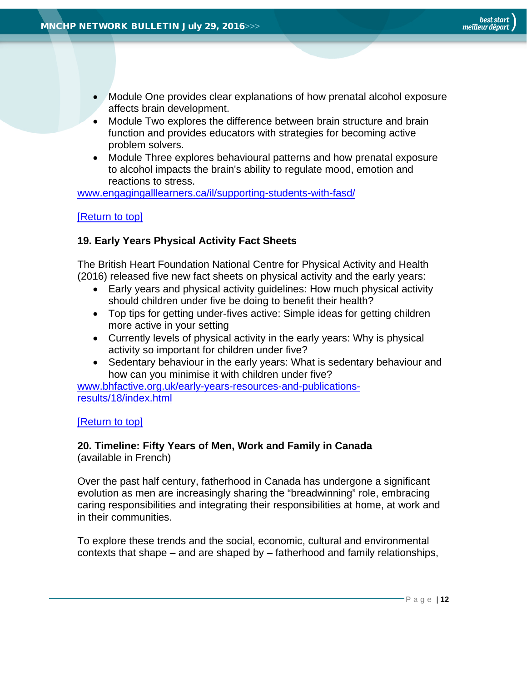- Module One provides clear explanations of how prenatal alcohol exposure affects brain development.
- Module Two explores the difference between brain structure and brain function and provides educators with strategies for becoming active problem solvers.
- Module Three explores behavioural patterns and how prenatal exposure to alcohol impacts the brain's ability to regulate mood, emotion and reactions to stress.

[www.engagingalllearners.ca/il/supporting-students-with-fasd/](http://www.engagingalllearners.ca/il/supporting-students-with-fasd/)

## [\[Return to top\]](#page-0-0)

## <span id="page-11-0"></span>**19. Early Years Physical Activity Fact Sheets**

The British Heart Foundation National Centre for Physical Activity and Health (2016) released five new fact sheets on physical activity and the early years:

- Early years and physical activity guidelines: How much physical activity should children under five be doing to benefit their health?
- Top tips for getting under-fives active: Simple ideas for getting children more active in your setting
- Currently levels of physical activity in the early years: Why is physical activity so important for children under five?
- Sedentary behaviour in the early years: What is sedentary behaviour and how can you minimise it with children under five?

[www.bhfactive.org.uk/early-years-resources-and-publications](http://www.bhfactive.org.uk/early-years-resources-and-publications-results/18/index.html)[results/18/index.html](http://www.bhfactive.org.uk/early-years-resources-and-publications-results/18/index.html)

#### [\[Return to top\]](#page-0-0)

#### <span id="page-11-1"></span>**20. Timeline: Fifty Years of Men, Work and Family in Canada** (available in French)

Over the past half century, fatherhood in Canada has undergone a significant evolution as men are increasingly sharing the "breadwinning" role, embracing caring responsibilities and integrating their responsibilities at home, at work and in their communities.

To explore these trends and the social, economic, cultural and environmental contexts that shape – and are shaped by – fatherhood and family relationships,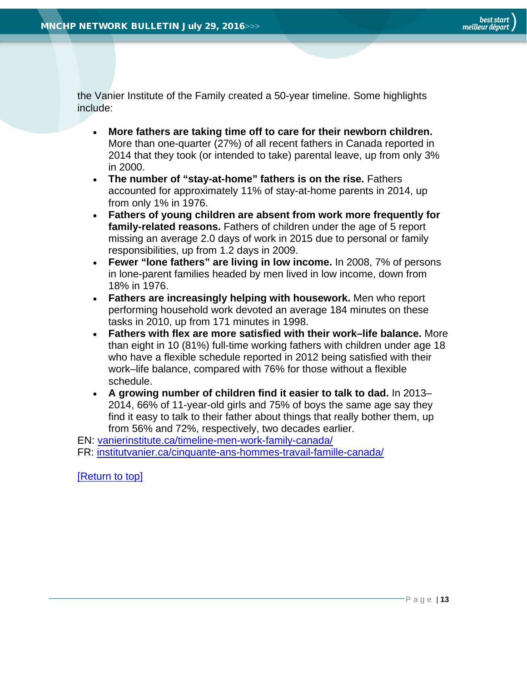the Vanier Institute of the Family created a 50-year timeline. Some highlights include:

- **More fathers are taking time off to care for their newborn children.** More than one-quarter (27%) of all recent fathers in Canada reported in 2014 that they took (or intended to take) parental leave, up from only 3% in 2000.
- **The number of "stay-at-home" fathers is on the rise.** Fathers accounted for approximately 11% of stay-at-home parents in 2014, up from only 1% in 1976.
- **Fathers of young children are absent from work more frequently for family-related reasons.** Fathers of children under the age of 5 report missing an average 2.0 days of work in 2015 due to personal or family responsibilities, up from 1.2 days in 2009.
- **Fewer "lone fathers" are living in low income.** In 2008, 7% of persons in lone-parent families headed by men lived in low income, down from 18% in 1976.
- **Fathers are increasingly helping with housework.** Men who report performing household work devoted an average 184 minutes on these tasks in 2010, up from 171 minutes in 1998.
- **Fathers with flex are more satisfied with their work–life balance.** More than eight in 10 (81%) full-time working fathers with children under age 18 who have a flexible schedule reported in 2012 being satisfied with their work–life balance, compared with 76% for those without a flexible schedule.
- **A growing number of children find it easier to talk to dad.** In 2013– 2014, 66% of 11-year-old girls and 75% of boys the same age say they find it easy to talk to their father about things that really bother them, up from 56% and 72%, respectively, two decades earlier.

EN: [vanierinstitute.ca/timeline-men-work-family-canada/](http://vanierinstitute.ca/timeline-men-work-family-canada/)

FR: [institutvanier.ca/cinquante-ans-hommes-travail-famille-canada/](http://institutvanier.ca/cinquante-ans-hommes-travail-famille-canada/)

[\[Return to top\]](#page-0-0)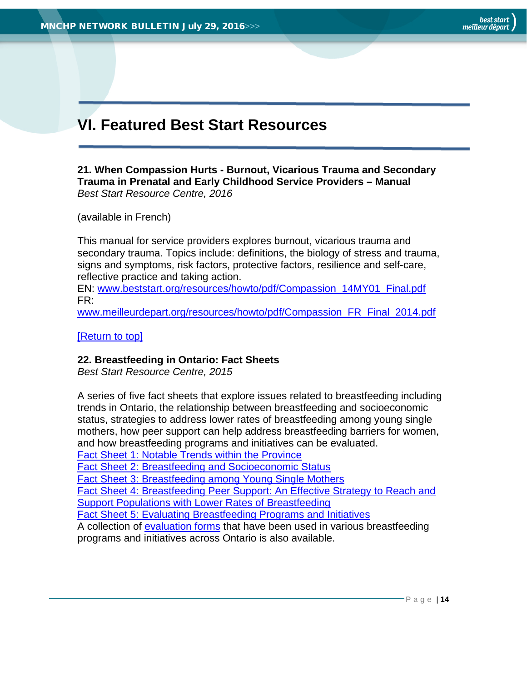# <span id="page-13-0"></span>**VI. Featured Best Start Resources**

<span id="page-13-1"></span>**21. When Compassion Hurts - Burnout, Vicarious Trauma and Secondary Trauma in Prenatal and Early Childhood Service Providers – Manual** *Best Start Resource Centre, 2016*

(available in French)

This manual for service providers explores burnout, vicarious trauma and secondary trauma. Topics include: definitions, the biology of stress and trauma, signs and symptoms, risk factors, protective factors, resilience and self-care, reflective practice and taking action.

EN: [www.beststart.org/resources/howto/pdf/Compassion\\_14MY01\\_Final.pdf](http://www.beststart.org/resources/howto/pdf/Compassion_14MY01_Final.pdf) FR:

[www.meilleurdepart.org/resources/howto/pdf/Compassion\\_FR\\_Final\\_2014.pdf](http://www.meilleurdepart.org/resources/howto/pdf/Compassion_FR_Final_2014.pdf)

[\[Return to top\]](#page-0-0)

## <span id="page-13-2"></span>**22. Breastfeeding in Ontario: Fact Sheets**

*Best Start Resource Centre, 2015*

A series of five fact sheets that explore issues related to breastfeeding including trends in Ontario, the relationship between breastfeeding and socioeconomic status, strategies to address lower rates of breastfeeding among young single mothers, how peer support can help address breastfeeding barriers for women, and how breastfeeding programs and initiatives can be evaluated.

[Fact Sheet 1: Notable Trends within the Province](http://www.beststart.org/resources/breastfeeding/B15-E_Breastfeeding_factsheet_1_rev.pdf)

[Fact Sheet 2: Breastfeeding and Socioeconomic Status](http://www.beststart.org/resources/breastfeeding/B16-E_Breastfeeding_factsheet_2_rev.pdf)

[Fact Sheet 3: Breastfeeding among Young Single Mothers](http://www.beststart.org/resources/breastfeeding/B17-E_Breastfeeding_factsheet_3_rev.pdf)

[Fact Sheet 4: Breastfeeding Peer Support: An Effective Strategy to Reach and](http://www.beststart.org/resources/breastfeeding/B18-E_Breastfeeding_factsheet_4_rev.pdf)  [Support Populations with Lower Rates of Breastfeeding](http://www.beststart.org/resources/breastfeeding/B18-E_Breastfeeding_factsheet_4_rev.pdf)

[Fact Sheet 5: Evaluating Breastfeeding Programs and Initiatives](http://www.beststart.org/resources/breastfeeding/B25_BF_evaluation_factsheet_fnl_EN.pdf)

A collection of [evaluation forms](http://www.beststart.org/resources/breastfeeding/B25_Add_Breastfeeding%20Program%20Evaluation_ENG.docx) that have been used in various breastfeeding programs and initiatives across Ontario is also available.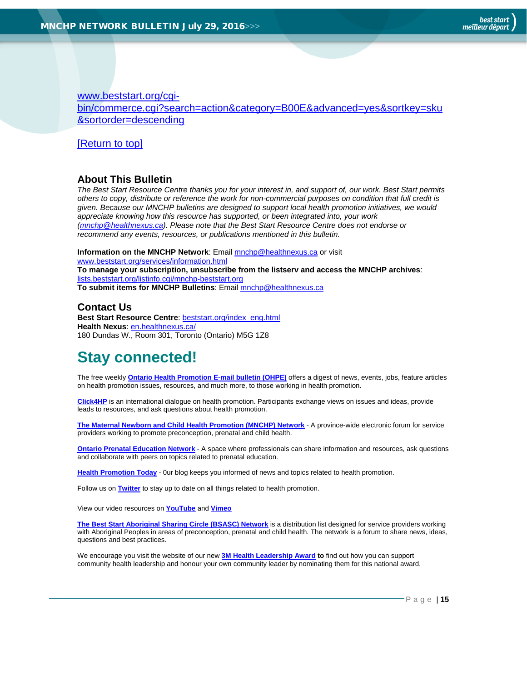[www.beststart.org/cgi](http://www.beststart.org/cgi-bin/commerce.cgi?search=action&category=B00E&advanced=yes&sortkey=sku&sortorder=descending)[bin/commerce.cgi?search=action&category=B00E&advanced=yes&sortkey=sku](http://www.beststart.org/cgi-bin/commerce.cgi?search=action&category=B00E&advanced=yes&sortkey=sku&sortorder=descending) [&sortorder=descending](http://www.beststart.org/cgi-bin/commerce.cgi?search=action&category=B00E&advanced=yes&sortkey=sku&sortorder=descending)

[\[Return to top\]](#page-0-0)

#### <span id="page-14-0"></span>**About This Bulletin**

*The Best Start Resource Centre thanks you for your interest in, and support of, our work. Best Start permits others to copy, distribute or reference the work for non-commercial purposes on condition that full credit is given. Because our MNCHP bulletins are designed to support local health promotion initiatives, we would appreciate knowing how this resource has supported, or been integrated into, your work [\(mnchp@healthnexus.ca\)](mailto:mnchp@healthnexus.ca). Please note that the Best Start Resource Centre does not endorse or recommend any events, resources, or publications mentioned in this bulletin.* 

**Information on the MNCHP Network**: Emai[l mnchp@healthnexus.ca](mailto:mnchp@healthnexus.ca) or visit [www.beststart.org/services/information.html](http://www.beststart.org/services/information.html) **To manage your subscription, unsubscribe from the listserv and access the MNCHP archives**: [lists.beststart.org/listinfo.cgi/mnchp-beststart.org](http://lists.beststart.org/listinfo.cgi/mnchp-beststart.org) **To submit items for MNCHP Bulletins**: Email [mnchp@healthnexus.ca](mailto:mnchp@healthnexus.ca)

## **Contact Us**

**Best Start Resource Centre**: [beststart.org/index\\_eng.html](http://beststart.org/index_eng.html) **Health Nexus**: [en.healthnexus.ca/](http://en.healthnexus.ca/) 180 Dundas W., Room 301, Toronto (Ontario) M5G 1Z8

## **Stay connected!**

The free weekly **[Ontario Health Promotion E-mail bulletin \(OHPE\)](http://www.ohpe.ca/)** offers a digest of news, events, jobs, feature articles on health promotion issues, resources, and much more, to those working in health promotion.

**[Click4HP](https://listserv.yorku.ca/archives/click4hp.html)** is an international dialogue on health promotion. Participants exchange views on issues and ideas, provide leads to resources, and ask questions about health promotion.

**[The Maternal Newborn and Child Health Promotion \(MNCHP\) Network](http://www.beststart.org/services/MNCHP.html) -** A province-wide electronic forum for service providers working to promote preconception, prenatal and child health.

**[Ontario Prenatal Education Network](http://fluidsurveys.com/surveys/ohpe/subscriptionsopen2015-2016/) -** A space where professionals can share information and resources, ask questions and collaborate with peers on topics related to prenatal education.

**[Health Promotion Today](http://en.healthnexus.ca/)** - 0ur blog keeps you informed of news and topics related to health promotion.

Follow us on **[Twitter](https://twitter.com/Health_Nexus)** to stay up to date on all things related to health promotion.

View our video resources on **[YouTube](http://www.youtube.com/user/healthnexussante)** and **[Vimeo](https://vimeo.com/user9493317)**

**[The Best Start Aboriginal Sharing Circle \(BSASC\) Network](http://lists.beststart.org/listinfo.cgi/bsasc-beststart.org)** is a distribution list designed for service providers working with Aboriginal Peoples in areas of preconception, prenatal and child health. The network is a forum to share news, ideas, questions and best practices.

We encourage you visit the website of our new **[3M Health Leadership Award](http://www.healthnexus.ca/leadershipaward) to** find out how you can support community health leadership and honour your own community leader by nominating them for this national award.